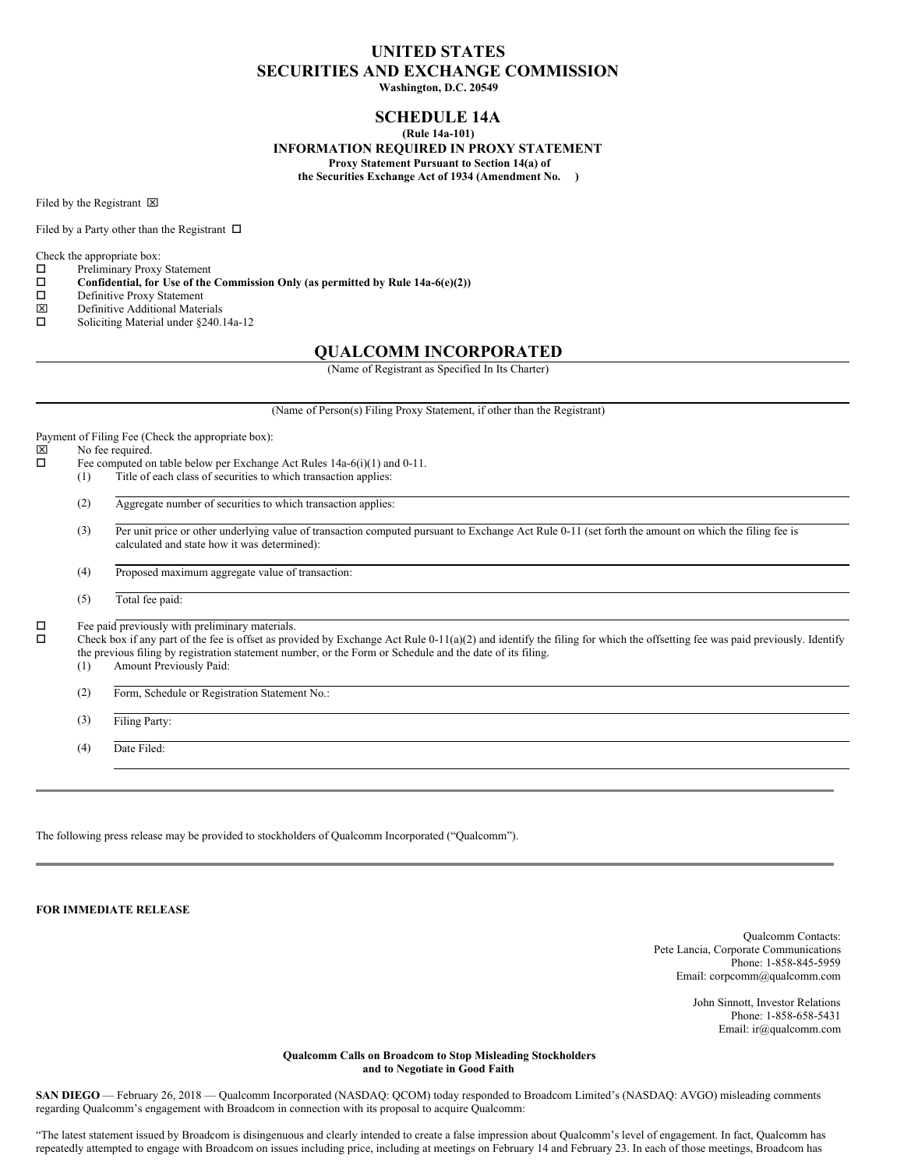# **UNITED STATES SECURITIES AND EXCHANGE COMMISSION**

**Washington, D.C. 20549**

## **SCHEDULE 14A**

**(Rule 14a-101)**

**INFORMATION REQUIRED IN PROXY STATEMENT**

**Proxy Statement Pursuant to Section 14(a) of the Securities Exchange Act of 1934 (Amendment No. )**

Filed by the Registrant  $\boxtimes$ 

Filed by a Party other than the Registrant  $\Box$ 

Check the appropriate box:

- $\Box$  Preliminary Proxy Statement
- o **Confidential, for Use of the Commission Only (as permitted by Rule 14a-6(e)(2))**
- $\Box$  Definitive Proxy Statement
- x Definitive Additional Materials
- $\square$  Soliciting Material under §240.14a-12

## **QUALCOMM INCORPORATED**

(Name of Registrant as Specified In Its Charter)

(Name of Person(s) Filing Proxy Statement, if other than the Registrant)

Payment of Filing Fee (Check the appropriate box):  $\boxtimes$  No fee required.<br> $\Box$  Fee computed or Fee computed on table below per Exchange Act Rules 14a-6(i)(1) and 0-11. (1) Title of each class of securities to which transaction applies: (2) Aggregate number of securities to which transaction applies: (3) Per unit price or other underlying value of transaction computed pursuant to Exchange Act Rule 0-11 (set forth the amount on which the filing fee is calculated and state how it was determined): (4) Proposed maximum aggregate value of transaction: (5) Total fee paid:

 $\square$  Fee paid previously with preliminary materials.<br> $\square$  Check box if any part of the fee is offset as prov

Check box if any part of the fee is offset as provided by Exchange Act Rule 0-11(a)(2) and identify the filing for which the offsetting fee was paid previously. Identify the previous filing by registration statement number, or the Form or Schedule and the date of its filing.

- (1) Amount Previously Paid:
- (2) Form, Schedule or Registration Statement No.:

(3) Filing Party:

(4) Date Filed:

The following press release may be provided to stockholders of Qualcomm Incorporated ("Qualcomm").

**FOR IMMEDIATE RELEASE**

Qualcomm Contacts: Pete Lancia, Corporate Communications Phone: 1-858-845-5959 Email: corpcomm@qualcomm.com

> John Sinnott, Investor Relations Phone: 1-858-658-5431 Email: ir@qualcomm.com

### **Qualcomm Calls on Broadcom to Stop Misleading Stockholders and to Negotiate in Good Faith**

**SAN DIEGO** — February 26, 2018 — Qualcomm Incorporated (NASDAQ: QCOM) today responded to Broadcom Limited's (NASDAQ: AVGO) misleading comments regarding Qualcomm's engagement with Broadcom in connection with its proposal to acquire Qualcomm:

"The latest statement issued by Broadcom is disingenuous and clearly intended to create a false impression about Qualcomm's level of engagement. In fact, Qualcomm has repeatedly attempted to engage with Broadcom on issues including price, including at meetings on February 14 and February 23. In each of those meetings, Broadcom has